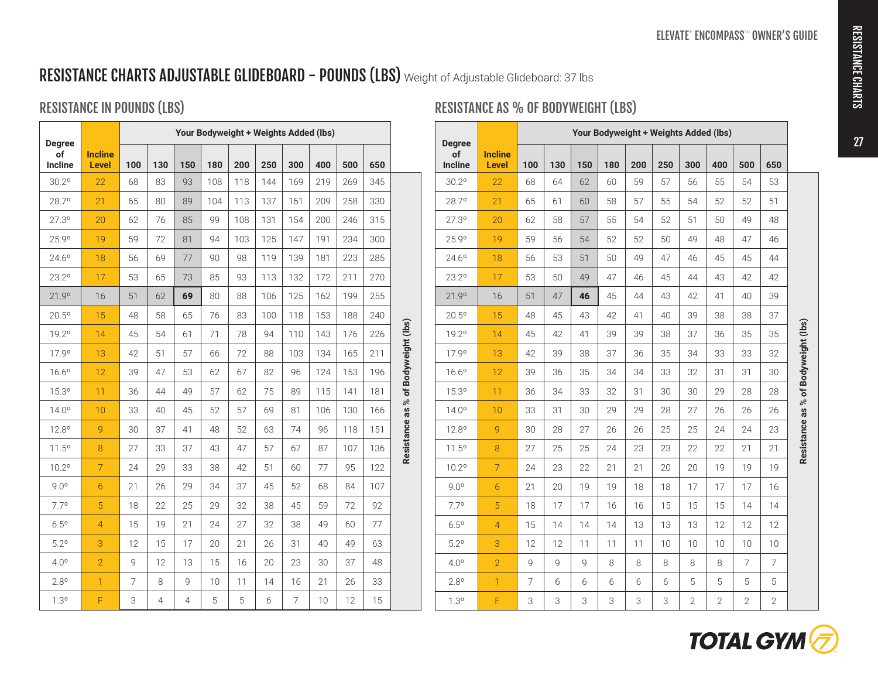# RESISTANCE CHARTS ADJUSTABLE GLIDEBOARD - POUNDS (LBS) Weight of Adjustable Glideboard: 37 lbs

## RESISTANCE IN POUNDS (LBS)

|                                |                                | Your Bodyweight + Weights Added (lbs) |                |                |     |     |     |                |     |     |     |                                     |
|--------------------------------|--------------------------------|---------------------------------------|----------------|----------------|-----|-----|-----|----------------|-----|-----|-----|-------------------------------------|
| <b>Degree</b><br>of<br>Incline | <b>Incline</b><br><b>Level</b> | 100                                   | 130            | 150            | 180 | 200 | 250 | 300            | 400 | 500 | 650 |                                     |
| 30.2°                          | 22                             | 68                                    | 83             | 93             | 108 | 118 | 144 | 169            | 219 | 269 | 345 |                                     |
| 28.7°                          | 21                             | 65                                    | 80             | 89             | 104 | 113 | 137 | 161            | 209 | 258 | 330 |                                     |
| 27.3°                          | 20                             | 62                                    | 76             | 85             | 99  | 108 | 131 | 154            | 200 | 246 | 315 |                                     |
| 25.9°                          | 19                             | 59                                    | 72             | 81             | 94  | 103 | 125 | 147            | 191 | 234 | 300 |                                     |
| 24.6°                          | 18                             | 56                                    | 69             | 77             | 90  | 98  | 119 | 139            | 181 | 223 | 285 |                                     |
| $23.2^{\circ}$                 | 17                             | 53                                    | 65             | 73             | 85  | 93  | 113 | 132            | 172 | 211 | 270 |                                     |
| 21.9°                          | 16                             | 51                                    | 62             | 69             | 80  | 88  | 106 | 125            | 162 | 199 | 255 |                                     |
| $20.5^{\circ}$                 | 15                             | 48                                    | 58             | 65             | 76  | 83  | 100 | 118            | 153 | 188 | 240 |                                     |
| 19.2°                          | 14                             | 45                                    | 54             | 61             | 71  | 78  | 94  | 110            | 143 | 176 | 226 |                                     |
| 17.9°                          | 13                             | 42                                    | 51             | 57             | 66  | 72  | 88  | 103            | 134 | 165 | 211 |                                     |
| $16.6^{\circ}$                 | 12                             | 39                                    | 47             | 53             | 62  | 67  | 82  | 96             | 124 | 153 | 196 | Resistance as % of Bodyweight (lbs) |
| 15.3°                          | 11                             | 36                                    | 44             | 49             | 57  | 62  | 75  | 89             | 115 | 141 | 181 |                                     |
| 14.0°                          | 10                             | 33                                    | 40             | 45             | 52  | 57  | 69  | 81             | 106 | 130 | 166 |                                     |
| $12.8^{\circ}$                 | 9                              | 30                                    | 37             | 41             | 48  | 52  | 63  | 74             | 96  | 118 | 151 |                                     |
| 11.5°                          | 8                              | 27                                    | 33             | 37             | 43  | 47  | 57  | 67             | 87  | 107 | 136 |                                     |
| 10.2°                          | $\overline{7}$                 | 24                                    | 29             | 33             | 38  | 42  | 51  | 60             | 77  | 95  | 122 |                                     |
| 9.0°                           | 6                              | 21                                    | 26             | 29             | 34  | 37  | 45  | 52             | 68  | 84  | 107 |                                     |
| 7.7°                           | 5                              | 18                                    | 22             | 25             | 29  | 32  | 38  | 45             | 59  | 72  | 92  |                                     |
| $6.5^{\circ}$                  | $\overline{4}$                 | 15                                    | 19             | 21             | 24  | 27  | 32  | 38             | 49  | 60  | 77  |                                     |
| 5.2°                           | 3                              | 12                                    | 15             | 17             | 20  | 21  | 26  | 31             | 40  | 49  | 63  |                                     |
| 4.0°                           | $\overline{2}$                 | 9                                     | 12             | 13             | 15  | 16  | 20  | 23             | 30  | 37  | 48  |                                     |
| $2.8^\circ$                    | $\mathbf{1}$                   | 7                                     | 8              | 9              | 10  | 11  | 14  | 16             | 21  | 26  | 33  |                                     |
| $1.3^{\circ}$                  | F                              | 3                                     | $\overline{4}$ | $\overline{4}$ | 5   | 5   | 6   | $\overline{7}$ | 10  | 12  | 15  |                                     |

### RESISTANCE AS % OF BODYWEIGHT (LBS)

|                                       |                                | Your Bodyweight + Weights Added (lbs) |     |     |     |     |     |                |              |                |                |                                     |
|---------------------------------------|--------------------------------|---------------------------------------|-----|-----|-----|-----|-----|----------------|--------------|----------------|----------------|-------------------------------------|
| <b>Degree</b><br>of<br><b>Incline</b> | <b>Incline</b><br><b>Level</b> | 100                                   | 130 | 150 | 180 | 200 | 250 | 300            | 400          | 500            | 650            |                                     |
| 30.2°                                 | 22                             | 68                                    | 64  | 62  | 60  | 59  | 57  | 56             | 55           | 54             | 53             |                                     |
| 28.7°                                 | 21                             | 65                                    | 61  | 60  | 58  | 57  | 55  | 54             | 52           | 52             | 51             |                                     |
| 27.3°                                 | 20                             | 62                                    | 58  | 57  | 55  | 54  | 52  | 51             | 50           | 49             | 48             |                                     |
| 25.9°                                 | 19                             | 59                                    | 56  | 54  | 52  | 52  | 50  | 49             | 48           | 47             | 46             |                                     |
| $24.6^{\circ}$                        | 18                             | 56                                    | 53  | 51  | 50  | 49  | 47  | 46             | 45           | 45             | 44             |                                     |
| $23.2^{\circ}$                        | 17                             | 53                                    | 50  | 49  | 47  | 46  | 45  | 44             | 43           | 42             | 42             |                                     |
| 21.9°                                 | 16                             | 51                                    | 47  | 46  | 45  | 44  | 43  | 42             | 41           | 40             | 39             |                                     |
| $20.5^{\circ}$                        | 15                             | 48                                    | 45  | 43  | 42  | 41  | 40  | 39             | 38           | 38             | 37             |                                     |
| 19.2°                                 | 14                             | 45                                    | 42  | 41  | 39  | 39  | 38  | 37             | 36           | 35             | 35             | Resistance as % of Bodyweight (lbs) |
| 17.9°                                 | 13                             | 42                                    | 39  | 38  | 37  | 36  | 35  | 34             | 33           | 33             | 32             |                                     |
| $16.6^{\circ}$                        | 12                             | 39                                    | 36  | 35  | 34  | 34  | 33  | 32             | 31           | 31             | 30             |                                     |
| 15.3°                                 | 11                             | 36                                    | 34  | 33  | 32  | 31  | 30  | 30             | 29           | 28             | 28             |                                     |
| $14.0^{\circ}$                        | 10                             | 33                                    | 31  | 30  | 29  | 29  | 28  | 27             | 26           | 26             | 26             |                                     |
| 12.8°                                 | 9                              | 30                                    | 28  | 27  | 26  | 26  | 25  | 25             | 24           | 24             | 23             |                                     |
| 11.5°                                 | 8                              | 27                                    | 25  | 25  | 24  | 23  | 23  | 22             | 22           | 21             | 21             |                                     |
| 10.2°                                 | $\overline{7}$                 | 24                                    | 23  | 22  | 21  | 21  | 20  | 20             | 19           | 19             | 19             |                                     |
| 9.0°                                  | $\overline{6}$                 | 21                                    | 20  | 19  | 19  | 18  | 18  | 17             | 17           | 17             | 16             |                                     |
| 7.7°                                  | 5                              | 18                                    | 17  | 17  | 16  | 16  | 15  | 15             | 15           | 14             | 14             |                                     |
| $6.5^{\circ}$                         | $\overline{4}$                 | 15                                    | 14  | 14  | 14  | 13  | 13  | 13             | 12           | 12             | 12             |                                     |
| $5.2^\circ$                           | 3                              | 12                                    | 12  | 11  | 11  | 11  | 10  | 10             | 10           | 10             | 10             |                                     |
| 4.0°                                  | $\overline{2}$                 | 9                                     | 9   | 9   | 8   | 8   | 8   | 8              | 8            | $\overline{7}$ | $\overline{7}$ |                                     |
| $2.8^{\circ}$                         | $\mathbf{1}$                   | $\overline{7}$                        | 6   | 6   | 6   | 6   | 6   | 5              | 5            | 5              | 5              |                                     |
| $1.3^{\circ}$                         | F                              | 3                                     | 3   | 3   | 3   | 3   | 3   | $\overline{2}$ | $\mathbf{2}$ | $\overline{2}$ | $\overline{2}$ |                                     |



27